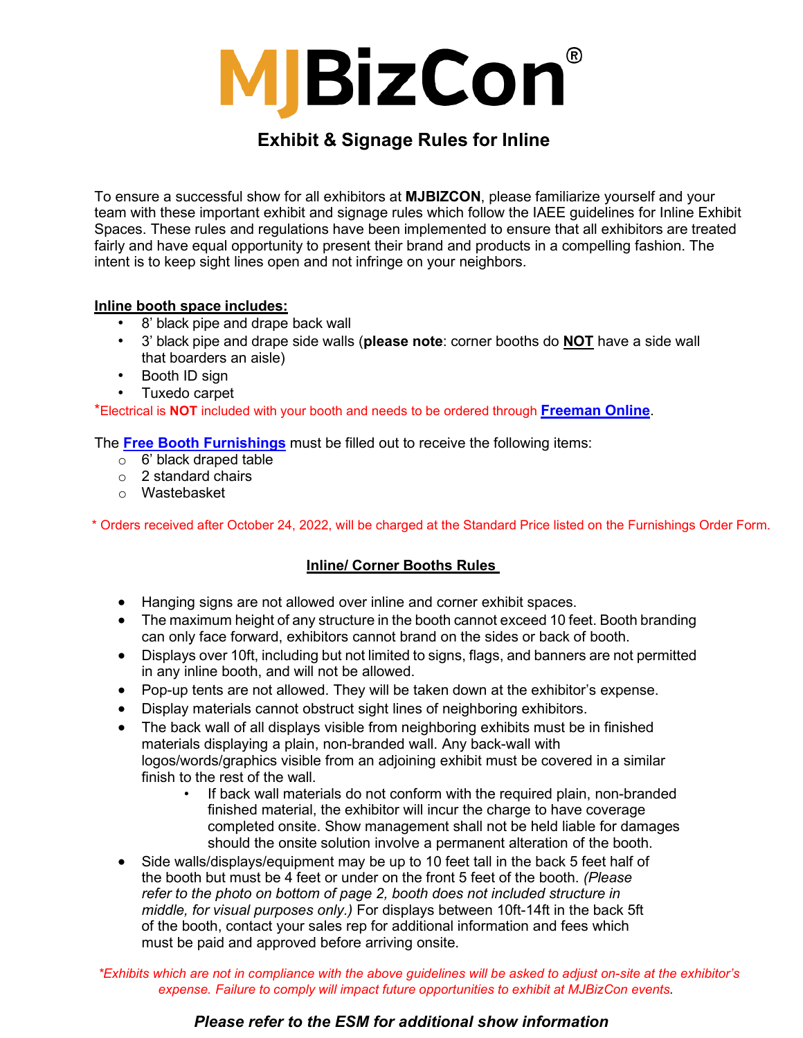

## **Exhibit & Signage Rules for Inline**

To ensure a successful show for all exhibitors at **MJBIZCON**, please familiarize yourself and your team with these important exhibit and signage rules which follow the IAEE guidelines for Inline Exhibit Spaces. These rules and regulations have been implemented to ensure that all exhibitors are treated fairly and have equal opportunity to present their brand and products in a compelling fashion. The intent is to keep sight lines open and not infringe on your neighbors.

## **Inline booth space includes:**

- 8' black pipe and drape back wall
- 3' black pipe and drape side walls (**please note**: corner booths do **NOT** have a side wall that boarders an aisle)
- Booth ID sign
- Tuxedo carpet

\*Electrical is **NOT** included with your booth and needs to be ordered through **[Freeman Online](https://www.freemanco.com/store/show/landing?showID=509933)**.

The **[Free Booth Furnishings](https://staging-mjbizconference.kinsta.cloud/wp-content/uploads/2022/05/Free-Furnishing-Form.pdf)** must be filled out to receive the following items:

- o 6' black draped table
- o 2 standard chairs
- o Wastebasket

\* Orders received after October 24, 2022, will be charged at the Standard Price listed on the Furnishings Order Form.

## **Inline/ Corner Booths Rules**

- Hanging signs are not allowed over inline and corner exhibit spaces.
- The maximum height of any structure in the booth cannot exceed 10 feet. Booth branding can only face forward, exhibitors cannot brand on the sides or back of booth.
- Displays over 10ft, including but not limited to signs, flags, and banners are not permitted in any inline booth, and will not be allowed.
- Pop-up tents are not allowed. They will be taken down at the exhibitor's expense.
- Display materials cannot obstruct sight lines of neighboring exhibitors.
- The back wall of all displays visible from neighboring exhibits must be in finished materials displaying a plain, [non-branded wall.](mailto:aliciaf@mjbizdaily.com) Any back-wall with logos/words/graphics visible from an adjoining exhibit must be covered in a similar finish to the rest of the wall.
	- If back wall materials do not conform with the required plain, non-branded finished material, the exhibitor will incur the charge to have coverage completed onsite. Show management shall not be held liable for damages should the onsite solution involve a permanent alteration of the booth.
- Side walls/displays/equipment may be up to 10 feet tall in the back 5 feet half of the booth but must be 4 feet or under on the front 5 feet of the booth. *(Please refer to the photo on bottom of page 2, booth does not included structure in middle, for visual purposes only.)* For displays between 10ft-14ft in the back 5ft of the booth, contact your sales rep for additional information and fees which must be paid and approved before arriving onsite.

*\*Exhibits which are not in compliance with the above guidelines will be asked to adjust on-site at the exhibitor's expense. Failure to comply will impact future opportunities to exhibit at MJBizCon events.*

## *Please refer to the ESM for additional show information*